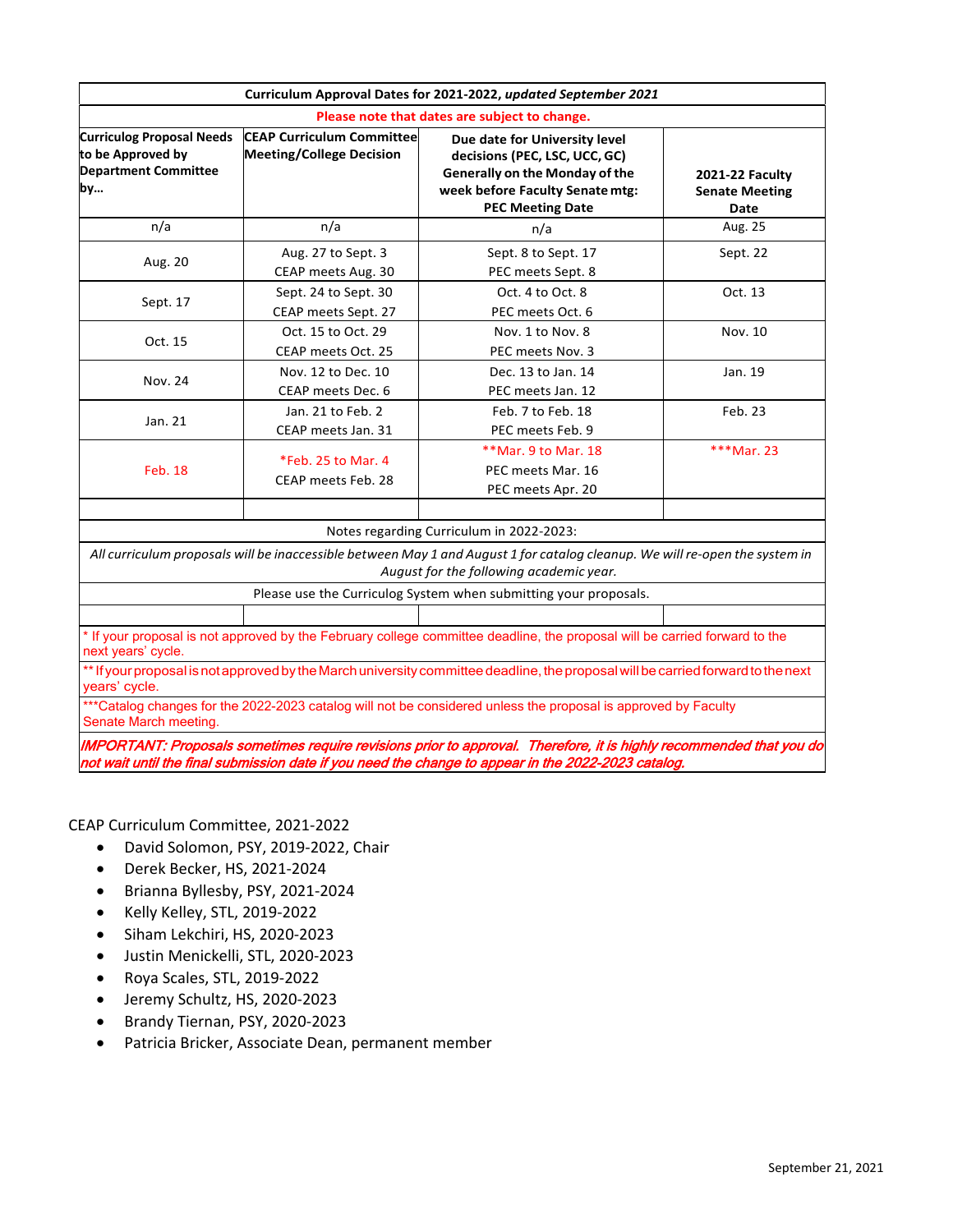|                                                                                            |                                                                     | Curriculum Approval Dates for 2021-2022, updated September 2021                                                                                                        |                                                         |
|--------------------------------------------------------------------------------------------|---------------------------------------------------------------------|------------------------------------------------------------------------------------------------------------------------------------------------------------------------|---------------------------------------------------------|
|                                                                                            |                                                                     | Please note that dates are subject to change.                                                                                                                          |                                                         |
| <b>Curriculog Proposal Needs</b><br>to be Approved by<br><b>Department Committee</b><br>by | <b>CEAP Curriculum Committee</b><br><b>Meeting/College Decision</b> | Due date for University level<br>decisions (PEC, LSC, UCC, GC)<br>Generally on the Monday of the<br>week before Faculty Senate mtg:<br><b>PEC Meeting Date</b>         | <b>2021-22 Faculty</b><br><b>Senate Meeting</b><br>Date |
| n/a                                                                                        | n/a                                                                 | n/a                                                                                                                                                                    | Aug. 25                                                 |
| Aug. 20                                                                                    | Aug. 27 to Sept. 3<br>CEAP meets Aug. 30                            | Sept. 8 to Sept. 17<br>PEC meets Sept. 8                                                                                                                               | Sept. 22                                                |
| Sept. 17                                                                                   | Sept. 24 to Sept. 30<br>CEAP meets Sept. 27                         | Oct. 4 to Oct. 8<br>PEC meets Oct. 6                                                                                                                                   | Oct. 13                                                 |
| Oct. 15                                                                                    | Oct. 15 to Oct. 29<br>CEAP meets Oct. 25                            | Nov. 1 to Nov. 8<br>PEC meets Nov. 3                                                                                                                                   | Nov. 10                                                 |
| Nov. 24                                                                                    | Nov. 12 to Dec. 10<br>CEAP meets Dec. 6                             | Dec. 13 to Jan. 14<br>PEC meets Jan. 12                                                                                                                                | Jan. 19                                                 |
| Jan. 21                                                                                    | Jan. 21 to Feb. 2<br>CEAP meets Jan. 31                             | Feb. 7 to Feb. 18<br>PEC meets Feb. 9                                                                                                                                  | Feb. 23                                                 |
| <b>Feb. 18</b>                                                                             | *Feb. 25 to Mar. 4<br>CEAP meets Feb. 28                            | ** Mar. 9 to Mar. 18<br>PEC meets Mar. 16<br>PEC meets Apr. 20                                                                                                         | ***Mar. 23                                              |
|                                                                                            |                                                                     | Notes regarding Curriculum in 2022-2023:                                                                                                                               |                                                         |
|                                                                                            |                                                                     | All curriculum proposals will be inaccessible between May 1 and August 1 for catalog cleanup. We will re-open the system in<br>August for the following academic year. |                                                         |
|                                                                                            |                                                                     | Please use the Curriculog System when submitting your proposals.                                                                                                       |                                                         |
|                                                                                            |                                                                     |                                                                                                                                                                        |                                                         |
| next years' cycle.                                                                         |                                                                     | * If your proposal is not approved by the February college committee deadline, the proposal will be carried forward to the                                             |                                                         |
| years' cycle.                                                                              |                                                                     | ** If your proposal is not approved by the March university committee deadline, the proposal will be carried forward to the next                                       |                                                         |
| Senate March meeting.                                                                      |                                                                     | ***Catalog changes for the 2022-2023 catalog will not be considered unless the proposal is approved by Faculty                                                         |                                                         |

IMPORTANT: Proposals sometimes require revisions prior to approval. Therefore, it is highly recommended that you do not wait until the final submission date if you need the change to appear in the 2022-2023 catalog.

CEAP Curriculum Committee, 2021‐2022

- David Solomon, PSY, 2019-2022, Chair
- Derek Becker, HS, 2021‐2024
- Brianna Byllesby, PSY, 2021‐2024
- Kelly Kelley, STL, 2019‐2022
- Siham Lekchiri, HS, 2020‐2023
- Justin Menickelli, STL, 2020‐2023
- Roya Scales, STL, 2019‐2022
- Jeremy Schultz, HS, 2020‐2023
- Brandy Tiernan, PSY, 2020-2023
- Patricia Bricker, Associate Dean, permanent member